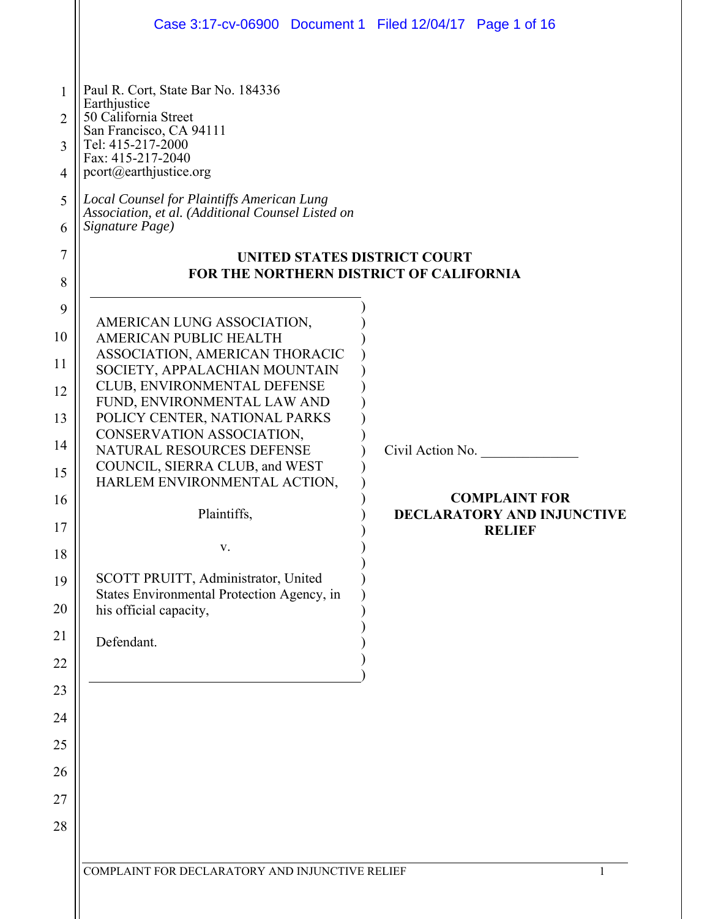|                                                                                                                     | Case 3:17-cv-06900 Document 1 Filed 12/04/17 Page 1 of 16                                                                                                                                                                                                                                                                                                                                                                                                                                            |                                                                                                |
|---------------------------------------------------------------------------------------------------------------------|------------------------------------------------------------------------------------------------------------------------------------------------------------------------------------------------------------------------------------------------------------------------------------------------------------------------------------------------------------------------------------------------------------------------------------------------------------------------------------------------------|------------------------------------------------------------------------------------------------|
| 1<br>2<br>3<br>$\overline{4}$<br>5<br>6<br>$\tau$<br>8                                                              | Paul R. Cort, State Bar No. 184336<br>Earthjustice<br>50 California Street<br>San Francisco, CA 94111<br>Tel: 415-217-2000<br>Fax: 415-217-2040<br>pcort@earthjustice.org<br>Local Counsel for Plaintiffs American Lung<br>Association, et al. (Additional Counsel Listed on<br>Signature Page)<br><b>UNITED STATES DISTRICT COURT</b><br>FOR THE NORTHERN DISTRICT OF CALIFORNIA                                                                                                                    |                                                                                                |
| 9<br>10<br>11<br>12<br>13<br>14<br>15<br>16<br>17<br>18<br>19<br>20<br>21<br>22<br>23<br>24<br>25<br>26<br>27<br>28 | AMERICAN LUNG ASSOCIATION,<br>AMERICAN PUBLIC HEALTH<br>ASSOCIATION, AMERICAN THORACIC<br>SOCIETY, APPALACHIAN MOUNTAIN<br>CLUB, ENVIRONMENTAL DEFENSE<br>FUND, ENVIRONMENTAL LAW AND<br>POLICY CENTER, NATIONAL PARKS<br>CONSERVATION ASSOCIATION,<br>NATURAL RESOURCES DEFENSE<br>COUNCIL, SIERRA CLUB, and WEST<br>HARLEM ENVIRONMENTAL ACTION,<br>Plaintiffs,<br>V.<br>SCOTT PRUITT, Administrator, United<br>States Environmental Protection Agency, in<br>his official capacity,<br>Defendant. | Civil Action No.<br><b>COMPLAINT FOR</b><br><b>DECLARATORY AND INJUNCTIVE</b><br><b>RELIEF</b> |
|                                                                                                                     | COMPLAINT FOR DECLARATORY AND INJUNCTIVE RELIEF                                                                                                                                                                                                                                                                                                                                                                                                                                                      |                                                                                                |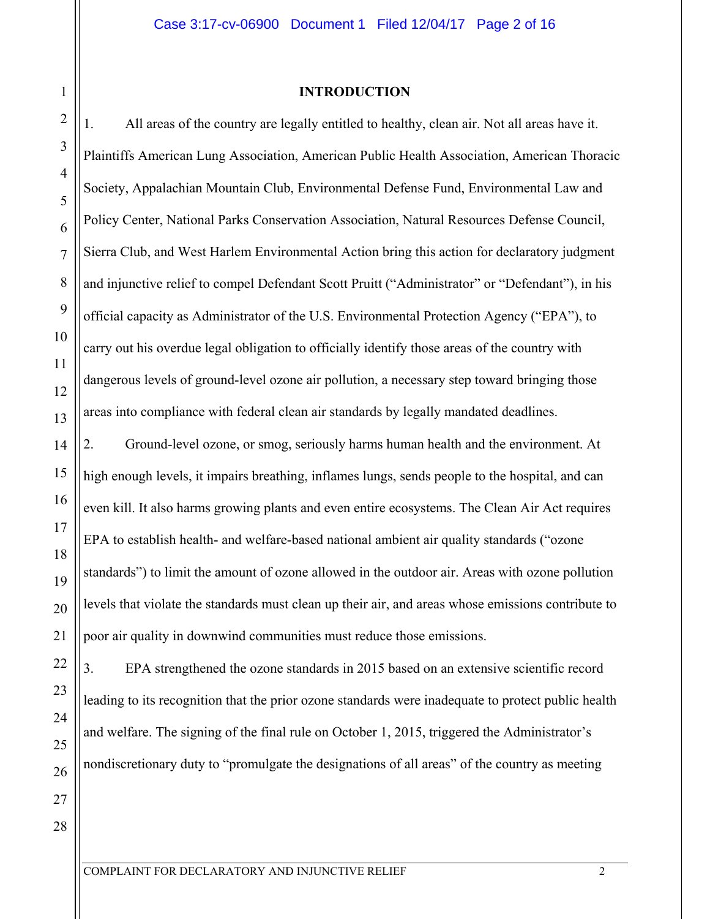#### **INTRODUCTION**

1. All areas of the country are legally entitled to healthy, clean air. Not all areas have it. Plaintiffs American Lung Association, American Public Health Association, American Thoracic Society, Appalachian Mountain Club, Environmental Defense Fund, Environmental Law and Policy Center, National Parks Conservation Association, Natural Resources Defense Council, Sierra Club, and West Harlem Environmental Action bring this action for declaratory judgment and injunctive relief to compel Defendant Scott Pruitt ("Administrator" or "Defendant"), in his official capacity as Administrator of the U.S. Environmental Protection Agency ("EPA"), to carry out his overdue legal obligation to officially identify those areas of the country with dangerous levels of ground-level ozone air pollution, a necessary step toward bringing those areas into compliance with federal clean air standards by legally mandated deadlines.

2. Ground-level ozone, or smog, seriously harms human health and the environment. At high enough levels, it impairs breathing, inflames lungs, sends people to the hospital, and can even kill. It also harms growing plants and even entire ecosystems. The Clean Air Act requires EPA to establish health- and welfare-based national ambient air quality standards ("ozone standards") to limit the amount of ozone allowed in the outdoor air. Areas with ozone pollution levels that violate the standards must clean up their air, and areas whose emissions contribute to poor air quality in downwind communities must reduce those emissions.

3. EPA strengthened the ozone standards in 2015 based on an extensive scientific record leading to its recognition that the prior ozone standards were inadequate to protect public health and welfare. The signing of the final rule on October 1, 2015, triggered the Administrator's nondiscretionary duty to "promulgate the designations of all areas" of the country as meeting

1

2

3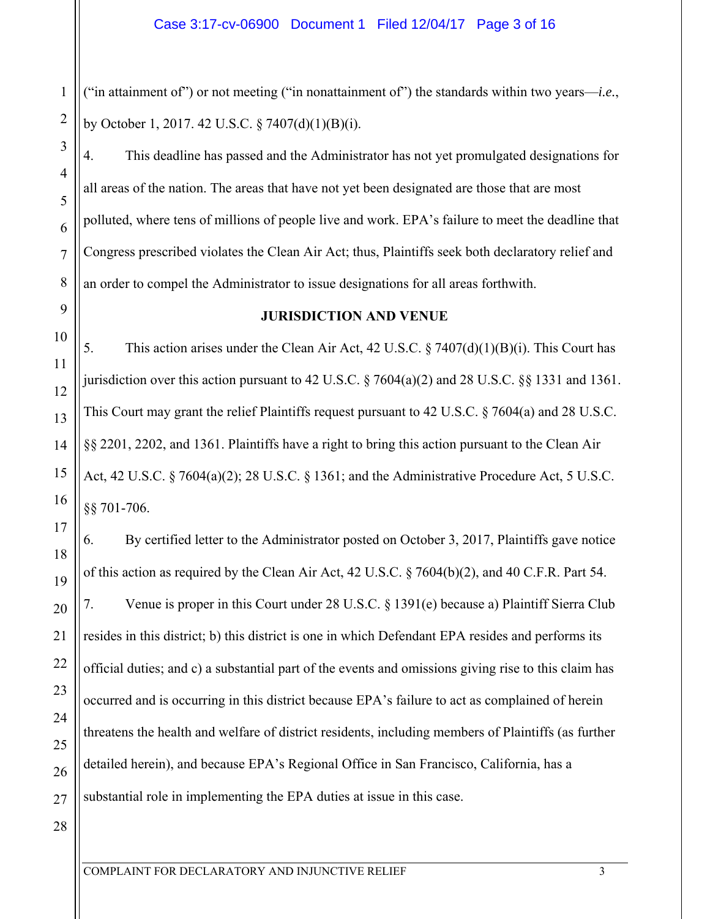("in attainment of") or not meeting ("in nonattainment of") the standards within two years—*i.e.*, by October 1, 2017. 42 U.S.C. § 7407(d)(1)(B)(i).

4. This deadline has passed and the Administrator has not yet promulgated designations for all areas of the nation. The areas that have not yet been designated are those that are most polluted, where tens of millions of people live and work. EPA's failure to meet the deadline that Congress prescribed violates the Clean Air Act; thus, Plaintiffs seek both declaratory relief and an order to compel the Administrator to issue designations for all areas forthwith.

# **JURISDICTION AND VENUE**

5. This action arises under the Clean Air Act, 42 U.S.C. § 7407(d)(1)(B)(i). This Court has jurisdiction over this action pursuant to 42 U.S.C. § 7604(a)(2) and 28 U.S.C. §§ 1331 and 1361. This Court may grant the relief Plaintiffs request pursuant to 42 U.S.C. § 7604(a) and 28 U.S.C. §§ 2201, 2202, and 1361. Plaintiffs have a right to bring this action pursuant to the Clean Air Act, 42 U.S.C. § 7604(a)(2); 28 U.S.C. § 1361; and the Administrative Procedure Act, 5 U.S.C. §§ 701-706.

6. By certified letter to the Administrator posted on October 3, 2017, Plaintiffs gave notice of this action as required by the Clean Air Act, 42 U.S.C. § 7604(b)(2), and 40 C.F.R. Part 54. 7. Venue is proper in this Court under 28 U.S.C. § 1391(e) because a) Plaintiff Sierra Club resides in this district; b) this district is one in which Defendant EPA resides and performs its official duties; and c) a substantial part of the events and omissions giving rise to this claim has occurred and is occurring in this district because EPA's failure to act as complained of herein threatens the health and welfare of district residents, including members of Plaintiffs (as further detailed herein), and because EPA's Regional Office in San Francisco, California, has a substantial role in implementing the EPA duties at issue in this case.

1

2

3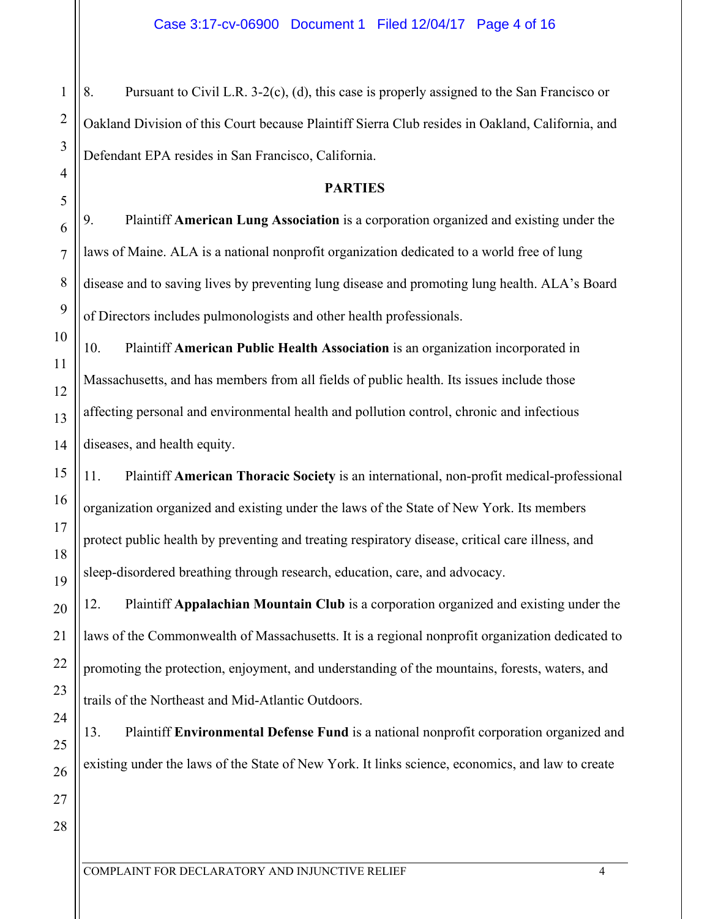8. Pursuant to Civil L.R. 3-2(c), (d), this case is properly assigned to the San Francisco or Oakland Division of this Court because Plaintiff Sierra Club resides in Oakland, California, and Defendant EPA resides in San Francisco, California.

# **PARTIES**

9. Plaintiff **American Lung Association** is a corporation organized and existing under the laws of Maine. ALA is a national nonprofit organization dedicated to a world free of lung disease and to saving lives by preventing lung disease and promoting lung health. ALA's Board of Directors includes pulmonologists and other health professionals.

10. Plaintiff **American Public Health Association** is an organization incorporated in Massachusetts, and has members from all fields of public health. Its issues include those affecting personal and environmental health and pollution control, chronic and infectious diseases, and health equity.

11. Plaintiff **American Thoracic Society** is an international, non-profit medical-professional organization organized and existing under the laws of the State of New York. Its members protect public health by preventing and treating respiratory disease, critical care illness, and sleep-disordered breathing through research, education, care, and advocacy.

12. Plaintiff **Appalachian Mountain Club** is a corporation organized and existing under the laws of the Commonwealth of Massachusetts. It is a regional nonprofit organization dedicated to promoting the protection, enjoyment, and understanding of the mountains, forests, waters, and trails of the Northeast and Mid-Atlantic Outdoors.

13. Plaintiff **Environmental Defense Fund** is a national nonprofit corporation organized and existing under the laws of the State of New York. It links science, economics, and law to create

1

2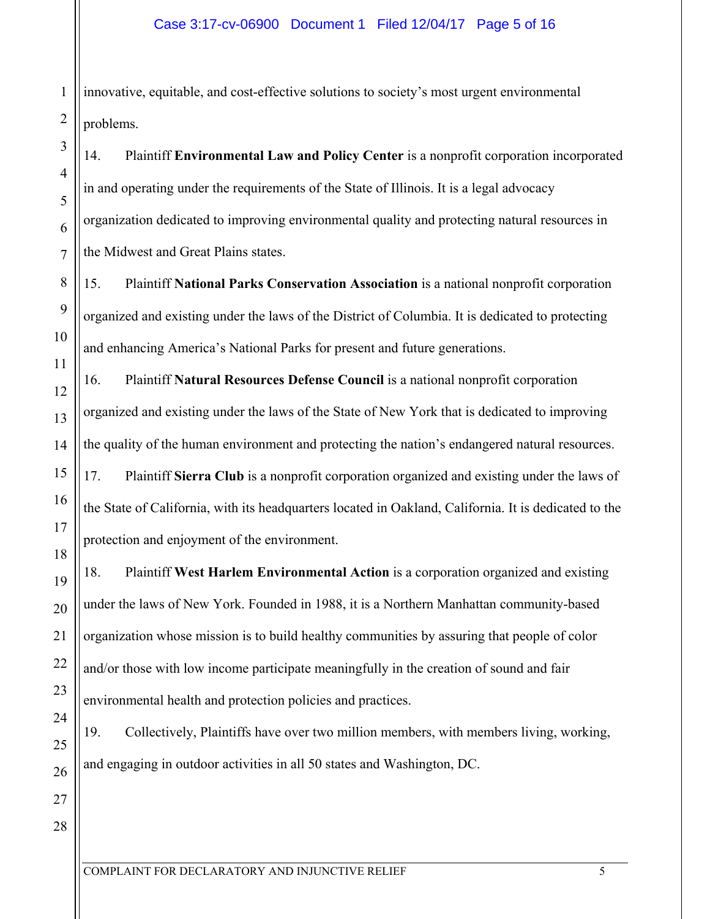1 2 innovative, equitable, and cost-effective solutions to society's most urgent environmental problems.

14. Plaintiff **Environmental Law and Policy Center** is a nonprofit corporation incorporated in and operating under the requirements of the State of Illinois. It is a legal advocacy organization dedicated to improving environmental quality and protecting natural resources in the Midwest and Great Plains states.

15. Plaintiff **National Parks Conservation Association** is a national nonprofit corporation organized and existing under the laws of the District of Columbia. It is dedicated to protecting and enhancing America's National Parks for present and future generations.

16. Plaintiff **Natural Resources Defense Council** is a national nonprofit corporation organized and existing under the laws of the State of New York that is dedicated to improving the quality of the human environment and protecting the nation's endangered natural resources. 17. Plaintiff **Sierra Club** is a nonprofit corporation organized and existing under the laws of the State of California, with its headquarters located in Oakland, California. It is dedicated to the protection and enjoyment of the environment.

18. Plaintiff **West Harlem Environmental Action** is a corporation organized and existing under the laws of New York. Founded in 1988, it is a Northern Manhattan community-based organization whose mission is to build healthy communities by assuring that people of color and/or those with low income participate meaningfully in the creation of sound and fair environmental health and protection policies and practices.

19. Collectively, Plaintiffs have over two million members, with members living, working, and engaging in outdoor activities in all 50 states and Washington, DC.

3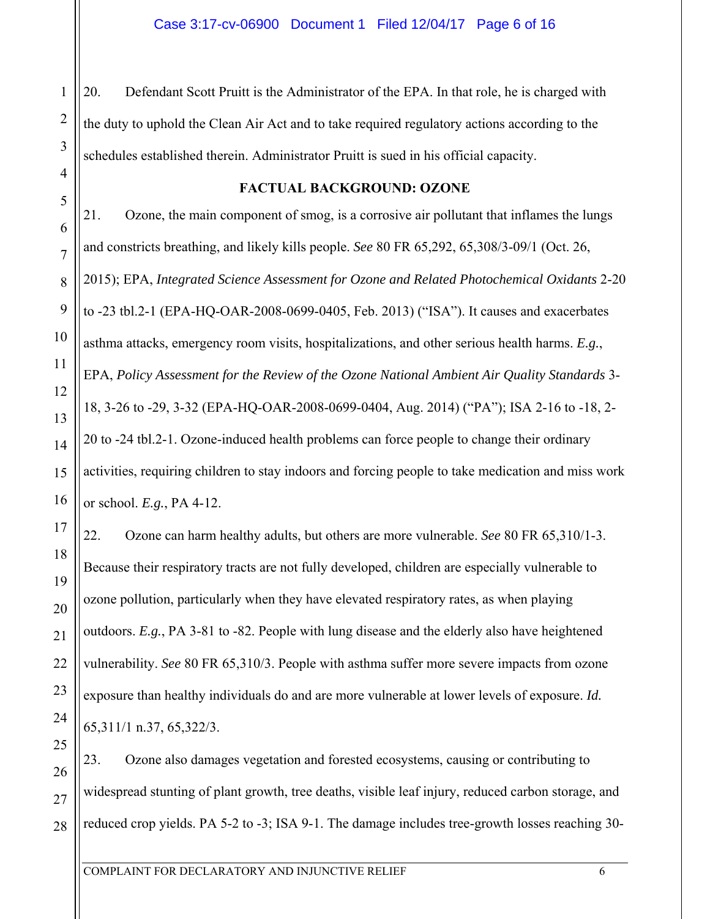20. Defendant Scott Pruitt is the Administrator of the EPA. In that role, he is charged with the duty to uphold the Clean Air Act and to take required regulatory actions according to the schedules established therein. Administrator Pruitt is sued in his official capacity.

1

2

3

4

5

6

7

8

9

10

11

12

13

14

15

16

17

18

19

20

21

22

23

24

25

27

### **FACTUAL BACKGROUND: OZONE**

21. Ozone, the main component of smog, is a corrosive air pollutant that inflames the lungs and constricts breathing, and likely kills people. *See* 80 FR 65,292, 65,308/3-09/1 (Oct. 26, 2015); EPA, *Integrated Science Assessment for Ozone and Related Photochemical Oxidants* 2-20 to -23 tbl.2-1 (EPA-HQ-OAR-2008-0699-0405, Feb. 2013) ("ISA"). It causes and exacerbates asthma attacks, emergency room visits, hospitalizations, and other serious health harms. *E.g.*, EPA, *Policy Assessment for the Review of the Ozone National Ambient Air Quality Standards* 3- 18, 3-26 to -29, 3-32 (EPA-HQ-OAR-2008-0699-0404, Aug. 2014) ("PA"); ISA 2-16 to -18, 2- 20 to -24 tbl.2-1. Ozone-induced health problems can force people to change their ordinary activities, requiring children to stay indoors and forcing people to take medication and miss work or school. *E.g.*, PA 4-12.

22. Ozone can harm healthy adults, but others are more vulnerable. *See* 80 FR 65,310/1-3. Because their respiratory tracts are not fully developed, children are especially vulnerable to ozone pollution, particularly when they have elevated respiratory rates, as when playing outdoors. *E.g.*, PA 3-81 to -82. People with lung disease and the elderly also have heightened vulnerability. *See* 80 FR 65,310/3. People with asthma suffer more severe impacts from ozone exposure than healthy individuals do and are more vulnerable at lower levels of exposure. *Id.* 65,311/1 n.37, 65,322/3.

26 28 23. Ozone also damages vegetation and forested ecosystems, causing or contributing to widespread stunting of plant growth, tree deaths, visible leaf injury, reduced carbon storage, and reduced crop yields. PA 5-2 to -3; ISA 9-1. The damage includes tree-growth losses reaching 30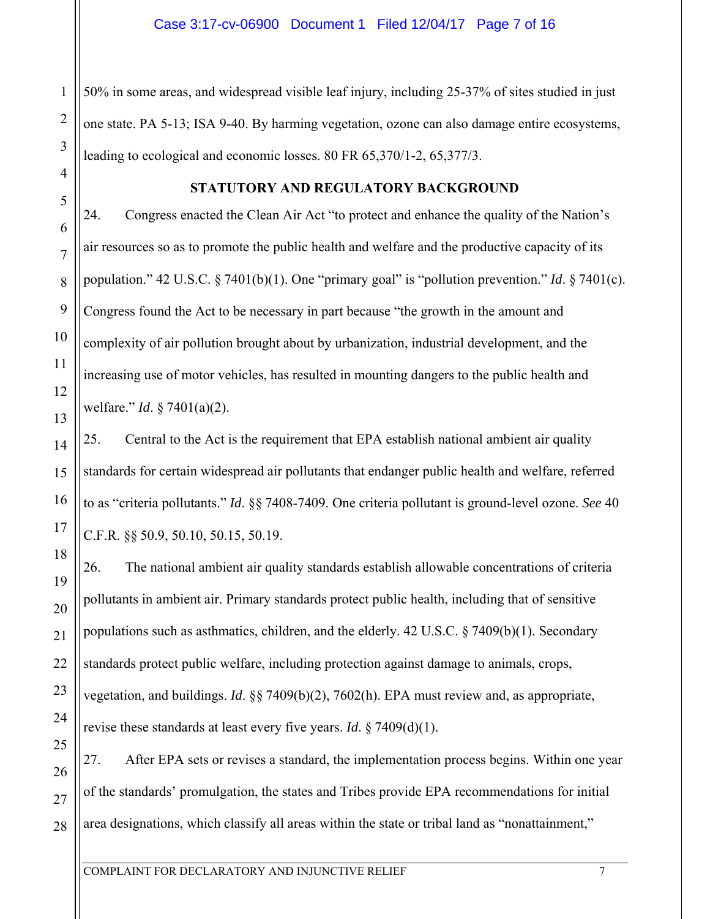50% in some areas, and widespread visible leaf injury, including 25-37% of sites studied in just one state. PA 5-13; ISA 9-40. By harming vegetation, ozone can also damage entire ecosystems, leading to ecological and economic losses. 80 FR 65,370/1-2, 65,377/3.

1

2

3

4

5

6

7

8

9

10

11

12

13

14

15

16

17

18

19

20

21

22

23

24

25

# **STATUTORY AND REGULATORY BACKGROUND**

24. Congress enacted the Clean Air Act "to protect and enhance the quality of the Nation's air resources so as to promote the public health and welfare and the productive capacity of its population." 42 U.S.C. § 7401(b)(1). One "primary goal" is "pollution prevention." *Id*. § 7401(c). Congress found the Act to be necessary in part because "the growth in the amount and complexity of air pollution brought about by urbanization, industrial development, and the increasing use of motor vehicles, has resulted in mounting dangers to the public health and welfare." *Id*. § 7401(a)(2).

25. Central to the Act is the requirement that EPA establish national ambient air quality standards for certain widespread air pollutants that endanger public health and welfare, referred to as "criteria pollutants." *Id*. §§ 7408-7409. One criteria pollutant is ground-level ozone. *See* 40 C.F.R. §§ 50.9, 50.10, 50.15, 50.19.

26. The national ambient air quality standards establish allowable concentrations of criteria pollutants in ambient air. Primary standards protect public health, including that of sensitive populations such as asthmatics, children, and the elderly. 42 U.S.C. § 7409(b)(1). Secondary standards protect public welfare, including protection against damage to animals, crops, vegetation, and buildings. *Id*. §§ 7409(b)(2), 7602(h). EPA must review and, as appropriate, revise these standards at least every five years. *Id*. § 7409(d)(1).

26 27 28 27. After EPA sets or revises a standard, the implementation process begins. Within one year of the standards' promulgation, the states and Tribes provide EPA recommendations for initial area designations, which classify all areas within the state or tribal land as "nonattainment,"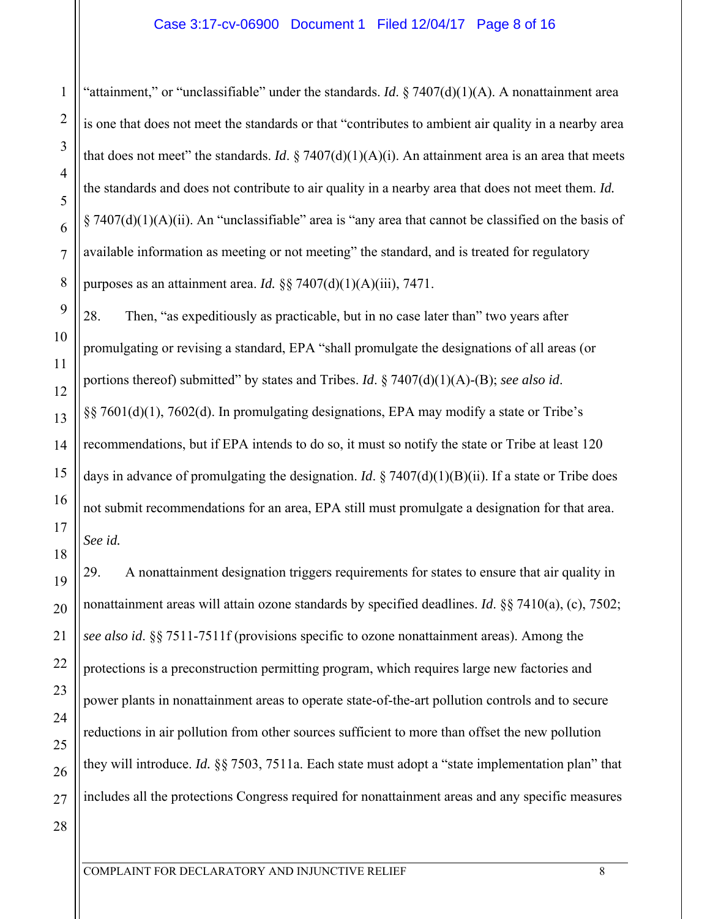"attainment," or "unclassifiable" under the standards. *Id*. § 7407(d)(1)(A). A nonattainment area is one that does not meet the standards or that "contributes to ambient air quality in a nearby area that does not meet" the standards. *Id*.  $\S 7407(d)(1)(A)(i)$ . An attainment area is an area that meets the standards and does not contribute to air quality in a nearby area that does not meet them. *Id.* § 7407(d)(1)(A)(ii). An "unclassifiable" area is "any area that cannot be classified on the basis of available information as meeting or not meeting" the standard, and is treated for regulatory purposes as an attainment area. *Id.* §§ 7407(d)(1)(A)(iii), 7471.

28. Then, "as expeditiously as practicable, but in no case later than" two years after promulgating or revising a standard, EPA "shall promulgate the designations of all areas (or portions thereof) submitted" by states and Tribes. *Id*. § 7407(d)(1)(A)-(B); *see also id*. §§ 7601(d)(1), 7602(d). In promulgating designations, EPA may modify a state or Tribe's recommendations, but if EPA intends to do so, it must so notify the state or Tribe at least 120 days in advance of promulgating the designation. *Id*. § 7407(d)(1)(B)(ii). If a state or Tribe does not submit recommendations for an area, EPA still must promulgate a designation for that area. *See id.*

29. A nonattainment designation triggers requirements for states to ensure that air quality in nonattainment areas will attain ozone standards by specified deadlines. *Id*. §§ 7410(a), (c), 7502; *see also id*. §§ 7511-7511f (provisions specific to ozone nonattainment areas). Among the protections is a preconstruction permitting program, which requires large new factories and power plants in nonattainment areas to operate state-of-the-art pollution controls and to secure reductions in air pollution from other sources sufficient to more than offset the new pollution they will introduce. *Id.* §§ 7503, 7511a. Each state must adopt a "state implementation plan" that includes all the protections Congress required for nonattainment areas and any specific measures

1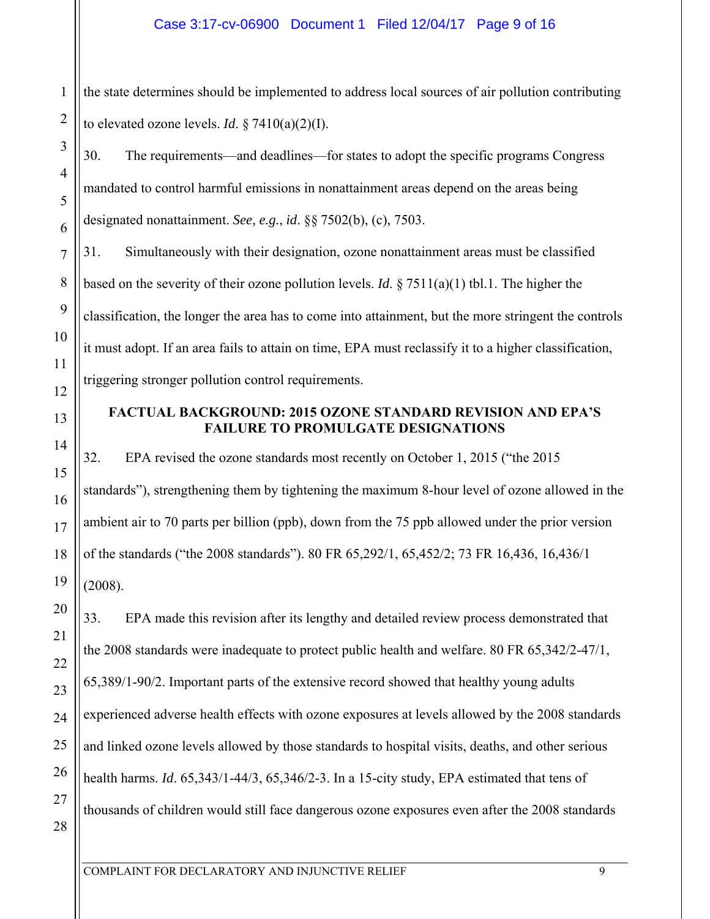the state determines should be implemented to address local sources of air pollution contributing to elevated ozone levels. *Id*.  $\S 7410(a)(2)(I)$ .

30. The requirements—and deadlines—for states to adopt the specific programs Congress mandated to control harmful emissions in nonattainment areas depend on the areas being designated nonattainment. *See, e.g.*, *id*. §§ 7502(b), (c), 7503.

31. Simultaneously with their designation, ozone nonattainment areas must be classified based on the severity of their ozone pollution levels. *Id*. § 7511(a)(1) tbl.1. The higher the classification, the longer the area has to come into attainment, but the more stringent the controls it must adopt. If an area fails to attain on time, EPA must reclassify it to a higher classification, triggering stronger pollution control requirements.

# **FACTUAL BACKGROUND: 2015 OZONE STANDARD REVISION AND EPA'S FAILURE TO PROMULGATE DESIGNATIONS**

32. EPA revised the ozone standards most recently on October 1, 2015 ("the 2015 standards"), strengthening them by tightening the maximum 8-hour level of ozone allowed in the ambient air to 70 parts per billion (ppb), down from the 75 ppb allowed under the prior version of the standards ("the 2008 standards"). 80 FR 65,292/1, 65,452/2; 73 FR 16,436, 16,436/1 (2008).

33. EPA made this revision after its lengthy and detailed review process demonstrated that the 2008 standards were inadequate to protect public health and welfare. 80 FR 65,342/2-47/1, 65,389/1-90/2. Important parts of the extensive record showed that healthy young adults experienced adverse health effects with ozone exposures at levels allowed by the 2008 standards and linked ozone levels allowed by those standards to hospital visits, deaths, and other serious health harms. *Id*. 65,343/1-44/3, 65,346/2-3. In a 15-city study, EPA estimated that tens of thousands of children would still face dangerous ozone exposures even after the 2008 standards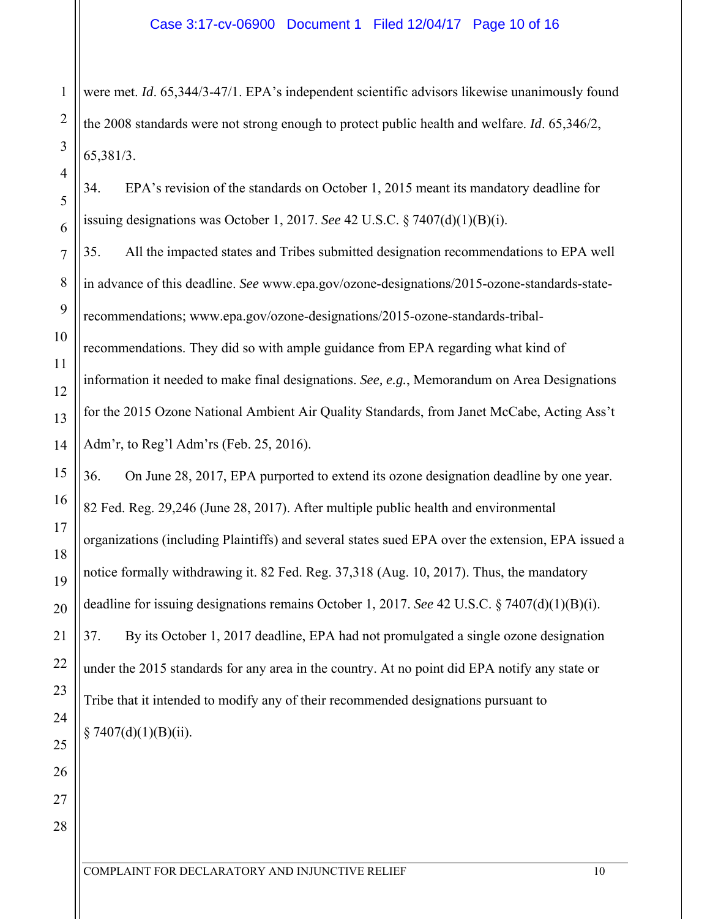were met. *Id*. 65,344/3-47/1. EPA's independent scientific advisors likewise unanimously found the 2008 standards were not strong enough to protect public health and welfare. *Id*. 65,346/2, 65,381/3.

34. EPA's revision of the standards on October 1, 2015 meant its mandatory deadline for issuing designations was October 1, 2017. *See* 42 U.S.C. § 7407(d)(1)(B)(i).

35. All the impacted states and Tribes submitted designation recommendations to EPA well in advance of this deadline. *See* www.epa.gov/ozone-designations/2015-ozone-standards-staterecommendations; www.epa.gov/ozone-designations/2015-ozone-standards-tribalrecommendations. They did so with ample guidance from EPA regarding what kind of information it needed to make final designations. *See, e.g.*, Memorandum on Area Designations for the 2015 Ozone National Ambient Air Quality Standards, from Janet McCabe, Acting Ass't Adm'r, to Reg'l Adm'rs (Feb. 25, 2016).

36. On June 28, 2017, EPA purported to extend its ozone designation deadline by one year. 82 Fed. Reg. 29,246 (June 28, 2017). After multiple public health and environmental organizations (including Plaintiffs) and several states sued EPA over the extension, EPA issued a notice formally withdrawing it. 82 Fed. Reg. 37,318 (Aug. 10, 2017). Thus, the mandatory deadline for issuing designations remains October 1, 2017. *See* 42 U.S.C. § 7407(d)(1)(B)(i). 37. By its October 1, 2017 deadline, EPA had not promulgated a single ozone designation under the 2015 standards for any area in the country. At no point did EPA notify any state or Tribe that it intended to modify any of their recommended designations pursuant to  $§ 7407(d)(1)(B)(ii).$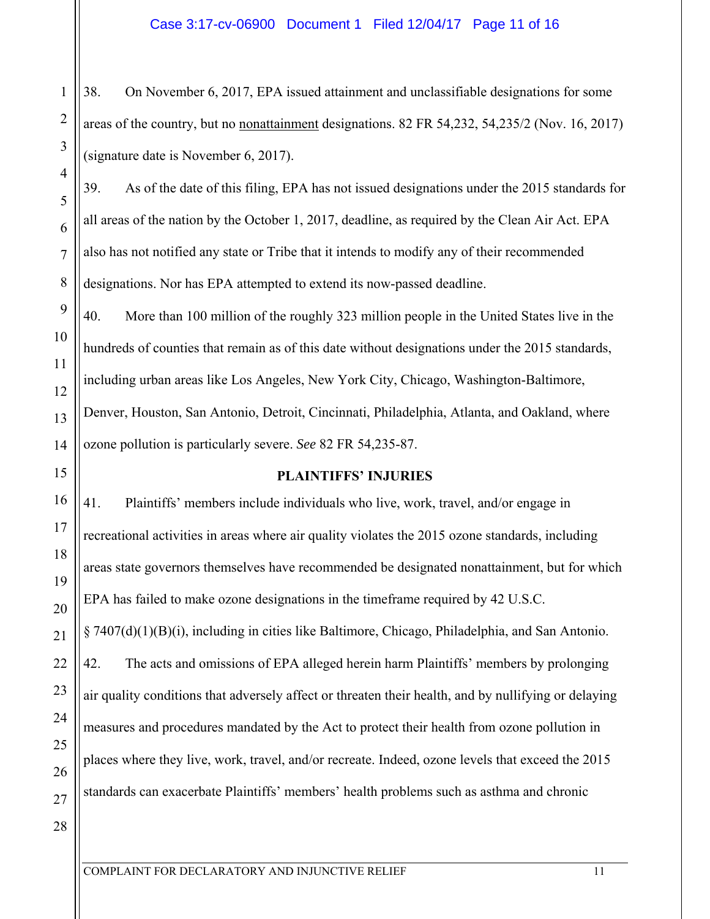38. On November 6, 2017, EPA issued attainment and unclassifiable designations for some areas of the country, but no nonattainment designations. 82 FR 54,232, 54,235/2 (Nov. 16, 2017) (signature date is November 6, 2017).

39. As of the date of this filing, EPA has not issued designations under the 2015 standards for all areas of the nation by the October 1, 2017, deadline, as required by the Clean Air Act. EPA also has not notified any state or Tribe that it intends to modify any of their recommended designations. Nor has EPA attempted to extend its now-passed deadline.

40. More than 100 million of the roughly 323 million people in the United States live in the hundreds of counties that remain as of this date without designations under the 2015 standards, including urban areas like Los Angeles, New York City, Chicago, Washington-Baltimore, Denver, Houston, San Antonio, Detroit, Cincinnati, Philadelphia, Atlanta, and Oakland, where ozone pollution is particularly severe. *See* 82 FR 54,235-87.

# **PLAINTIFFS' INJURIES**

41. Plaintiffs' members include individuals who live, work, travel, and/or engage in recreational activities in areas where air quality violates the 2015 ozone standards, including areas state governors themselves have recommended be designated nonattainment, but for which EPA has failed to make ozone designations in the timeframe required by 42 U.S.C. § 7407(d)(1)(B)(i), including in cities like Baltimore, Chicago, Philadelphia, and San Antonio. 42. The acts and omissions of EPA alleged herein harm Plaintiffs' members by prolonging air quality conditions that adversely affect or threaten their health, and by nullifying or delaying measures and procedures mandated by the Act to protect their health from ozone pollution in places where they live, work, travel, and/or recreate. Indeed, ozone levels that exceed the 2015 standards can exacerbate Plaintiffs' members' health problems such as asthma and chronic

1

2

3

4

5

6

7

8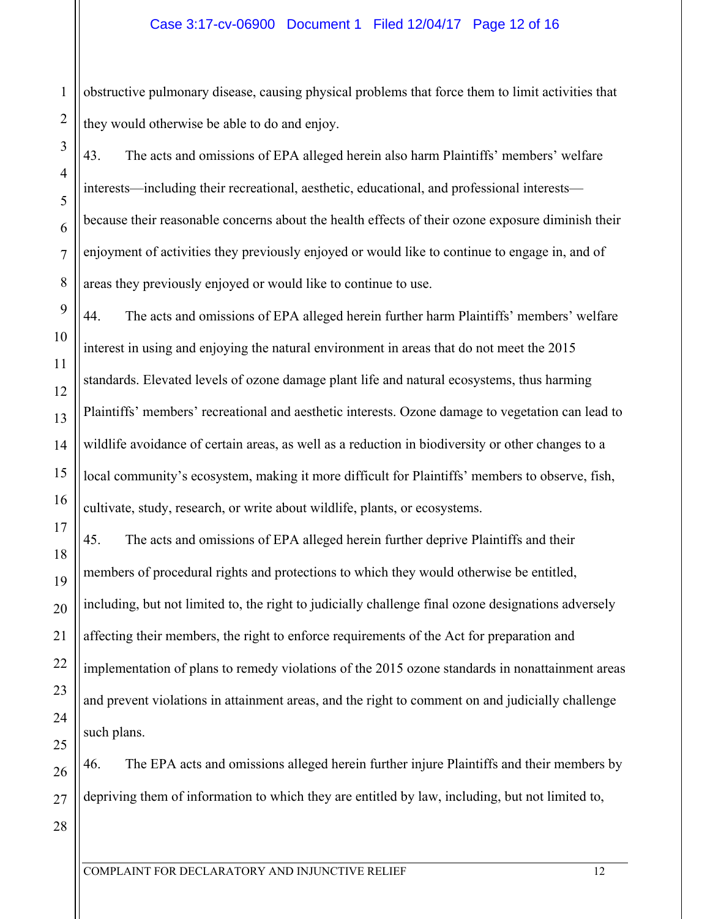2 obstructive pulmonary disease, causing physical problems that force them to limit activities that they would otherwise be able to do and enjoy.

43. The acts and omissions of EPA alleged herein also harm Plaintiffs' members' welfare interests—including their recreational, aesthetic, educational, and professional interests because their reasonable concerns about the health effects of their ozone exposure diminish their enjoyment of activities they previously enjoyed or would like to continue to engage in, and of areas they previously enjoyed or would like to continue to use.

44. The acts and omissions of EPA alleged herein further harm Plaintiffs' members' welfare interest in using and enjoying the natural environment in areas that do not meet the 2015 standards. Elevated levels of ozone damage plant life and natural ecosystems, thus harming Plaintiffs' members' recreational and aesthetic interests. Ozone damage to vegetation can lead to wildlife avoidance of certain areas, as well as a reduction in biodiversity or other changes to a local community's ecosystem, making it more difficult for Plaintiffs' members to observe, fish, cultivate, study, research, or write about wildlife, plants, or ecosystems.

45. The acts and omissions of EPA alleged herein further deprive Plaintiffs and their members of procedural rights and protections to which they would otherwise be entitled, including, but not limited to, the right to judicially challenge final ozone designations adversely affecting their members, the right to enforce requirements of the Act for preparation and implementation of plans to remedy violations of the 2015 ozone standards in nonattainment areas and prevent violations in attainment areas, and the right to comment on and judicially challenge such plans.

46. The EPA acts and omissions alleged herein further injure Plaintiffs and their members by depriving them of information to which they are entitled by law, including, but not limited to,

1

3

4

5

6

7

8

9

10

11

12

13

14

15

16

17

18

19

20

21

22

23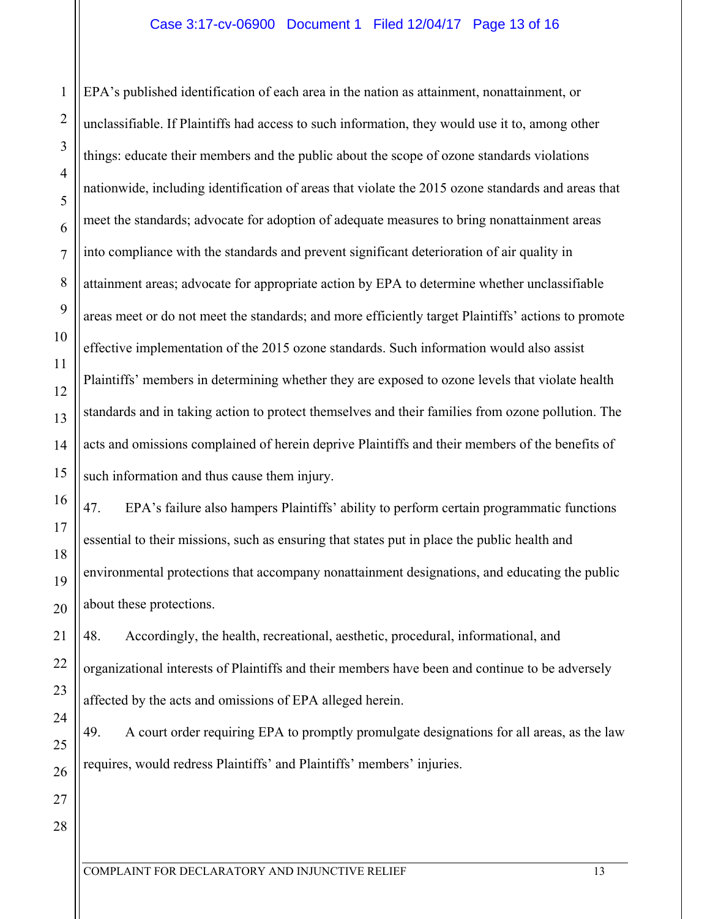# Case 3:17-cv-06900 Document 1 Filed 12/04/17 Page 13 of 16

EPA's published identification of each area in the nation as attainment, nonattainment, or unclassifiable. If Plaintiffs had access to such information, they would use it to, among other things: educate their members and the public about the scope of ozone standards violations nationwide, including identification of areas that violate the 2015 ozone standards and areas that meet the standards; advocate for adoption of adequate measures to bring nonattainment areas into compliance with the standards and prevent significant deterioration of air quality in attainment areas; advocate for appropriate action by EPA to determine whether unclassifiable areas meet or do not meet the standards; and more efficiently target Plaintiffs' actions to promote effective implementation of the 2015 ozone standards. Such information would also assist Plaintiffs' members in determining whether they are exposed to ozone levels that violate health standards and in taking action to protect themselves and their families from ozone pollution. The acts and omissions complained of herein deprive Plaintiffs and their members of the benefits of such information and thus cause them injury.

47. EPA's failure also hampers Plaintiffs' ability to perform certain programmatic functions essential to their missions, such as ensuring that states put in place the public health and environmental protections that accompany nonattainment designations, and educating the public about these protections.

48. Accordingly, the health, recreational, aesthetic, procedural, informational, and organizational interests of Plaintiffs and their members have been and continue to be adversely affected by the acts and omissions of EPA alleged herein.

49. A court order requiring EPA to promptly promulgate designations for all areas, as the law requires, would redress Plaintiffs' and Plaintiffs' members' injuries.

1

2

3

4

5

6

7

8

9

10

11

12

13

14

15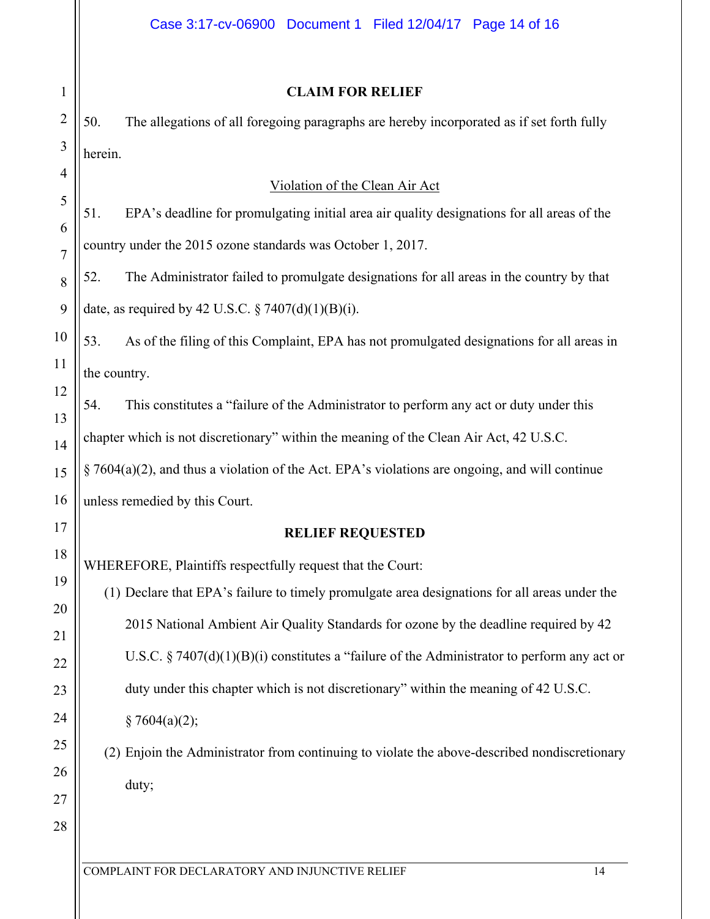# **CLAIM FOR RELIEF**

50. The allegations of all foregoing paragraphs are hereby incorporated as if set forth fully herein.

## Violation of the Clean Air Act

51. EPA's deadline for promulgating initial area air quality designations for all areas of the country under the 2015 ozone standards was October 1, 2017.

52. The Administrator failed to promulgate designations for all areas in the country by that date, as required by 42 U.S.C.  $\S 7407(d)(1)(B)(i)$ .

53. As of the filing of this Complaint, EPA has not promulgated designations for all areas in the country.

54. This constitutes a "failure of the Administrator to perform any act or duty under this chapter which is not discretionary" within the meaning of the Clean Air Act, 42 U.S.C.

§ 7604(a)(2), and thus a violation of the Act. EPA's violations are ongoing, and will continue unless remedied by this Court.

### **RELIEF REQUESTED**

WHEREFORE, Plaintiffs respectfully request that the Court:

(1) Declare that EPA's failure to timely promulgate area designations for all areas under the 2015 National Ambient Air Quality Standards for ozone by the deadline required by 42 U.S.C. § 7407(d)(1)(B)(i) constitutes a "failure of the Administrator to perform any act or duty under this chapter which is not discretionary" within the meaning of 42 U.S.C.  $§ 7604(a)(2);$ 

(2) Enjoin the Administrator from continuing to violate the above-described nondiscretionary duty;

1

2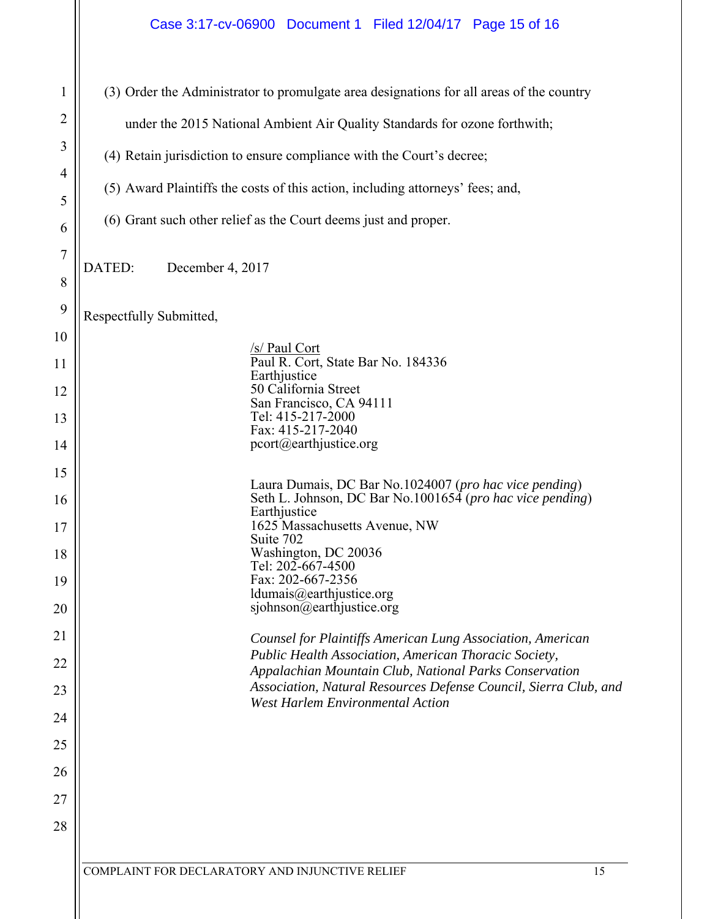|                                                                                                                     | Case 3:17-cv-06900 Document 1 Filed 12/04/17 Page 15 of 16                                                                                                                                                                                                                                                                                                                                                                                                                                                                                                                                                                                                                                                                                                                                                                            |  |
|---------------------------------------------------------------------------------------------------------------------|---------------------------------------------------------------------------------------------------------------------------------------------------------------------------------------------------------------------------------------------------------------------------------------------------------------------------------------------------------------------------------------------------------------------------------------------------------------------------------------------------------------------------------------------------------------------------------------------------------------------------------------------------------------------------------------------------------------------------------------------------------------------------------------------------------------------------------------|--|
| 1<br>$\overline{2}$<br>3<br>4<br>5<br>6<br>7                                                                        | (3) Order the Administrator to promulgate area designations for all areas of the country<br>under the 2015 National Ambient Air Quality Standards for ozone forthwith;<br>(4) Retain jurisdiction to ensure compliance with the Court's decree;<br>(5) Award Plaintiffs the costs of this action, including attorneys' fees; and,<br>(6) Grant such other relief as the Court deems just and proper.                                                                                                                                                                                                                                                                                                                                                                                                                                  |  |
| 8                                                                                                                   | DATED:<br>December 4, 2017                                                                                                                                                                                                                                                                                                                                                                                                                                                                                                                                                                                                                                                                                                                                                                                                            |  |
| 9<br>10<br>11<br>12<br>13<br>14<br>15<br>16<br>17<br>18<br>19<br>20<br>21<br>22<br>23<br>24<br>25<br>26<br>27<br>28 | Respectfully Submitted,<br>/s/ Paul Cort<br>Paul R. Cort, State Bar No. 184336<br>Earthjustice<br>50 California Street<br>San Francisco, CA 94111<br>Tel: 415-217-2000<br>Fax: 415-217-2040<br>pcort@earthjustice.org<br>Laura Dumais, DC Bar No.1024007 (pro hac vice pending)<br>Seth L. Johnson, DC Bar No.1001654 (pro hac vice pending)<br>Earthjustice<br>1625 Massachusetts Avenue, NW<br>Suite 702<br>Washington, DC 20036<br>Tel: 202-667-4500<br>Fax: 202-667-2356<br>ldumais@earthjustice.org<br>sjohnson@earthjustice.org<br>Counsel for Plaintiffs American Lung Association, American<br>Public Health Association, American Thoracic Society,<br>Appalachian Mountain Club, National Parks Conservation<br>Association, Natural Resources Defense Council, Sierra Club, and<br><b>West Harlem Environmental Action</b> |  |
|                                                                                                                     | COMPLAINT FOR DECLARATORY AND INJUNCTIVE RELIEF<br>15                                                                                                                                                                                                                                                                                                                                                                                                                                                                                                                                                                                                                                                                                                                                                                                 |  |